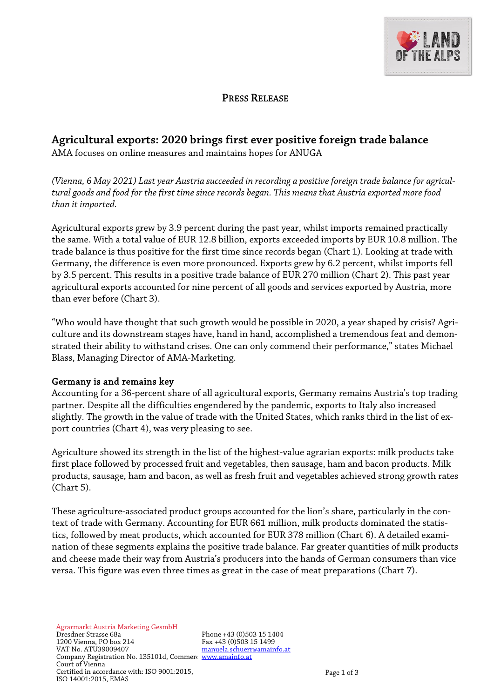

## **PRESS RELEASE**

## **Agricultural exports: 2020 brings first ever positive foreign trade balance**

AMA focuses on online measures and maintains hopes for ANUGA

*(Vienna, 6 May 2021) Last year Austria succeeded in recording a positive foreign trade balance for agricultural goods and food for the first time since records began. This means that Austria exported more food than it imported.*

Agricultural exports grew by 3.9 percent during the past year, whilst imports remained practically the same. With a total value of EUR 12.8 billion, exports exceeded imports by EUR 10.8 million. The trade balance is thus positive for the first time since records began (Chart 1). Looking at trade with Germany, the difference is even more pronounced. Exports grew by 6.2 percent, whilst imports fell by 3.5 percent. This results in a positive trade balance of EUR 270 million (Chart 2). This past year agricultural exports accounted for nine percent of all goods and services exported by Austria, more than ever before (Chart 3).

"Who would have thought that such growth would be possible in 2020, a year shaped by crisis? Agriculture and its downstream stages have, hand in hand, accomplished a tremendous feat and demonstrated their ability to withstand crises. One can only commend their performance," states Michael Blass, Managing Director of AMA-Marketing.

## Germany is and remains key

Accounting for a 36-percent share of all agricultural exports, Germany remains Austria's top trading partner. Despite all the difficulties engendered by the pandemic, exports to Italy also increased slightly. The growth in the value of trade with the United States, which ranks third in the list of export countries (Chart 4), was very pleasing to see.

Agriculture showed its strength in the list of the highest-value agrarian exports: milk products take first place followed by processed fruit and vegetables, then sausage, ham and bacon products. Milk products, sausage, ham and bacon, as well as fresh fruit and vegetables achieved strong growth rates (Chart 5).

These agriculture-associated product groups accounted for the lion's share, particularly in the context of trade with Germany. Accounting for EUR 661 million, milk products dominated the statistics, followed by meat products, which accounted for EUR 378 million (Chart 6). A detailed examination of these segments explains the positive trade balance. Far greater quantities of milk products and cheese made their way from Austria's producers into the hands of German consumers than vice versa. This figure was even three times as great in the case of meat preparations (Chart 7).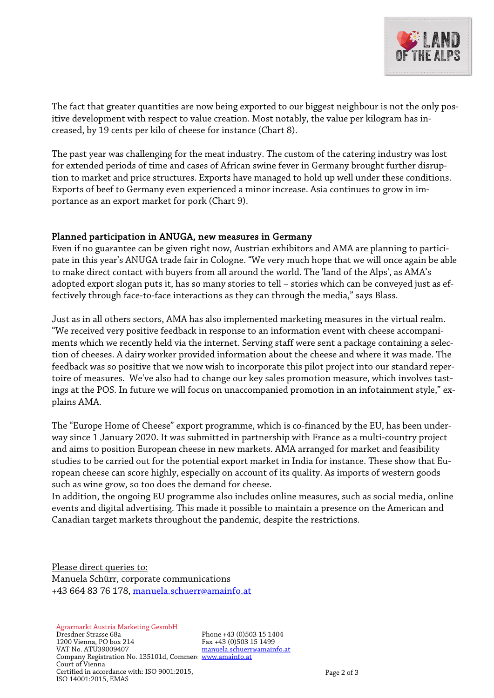

The fact that greater quantities are now being exported to our biggest neighbour is not the only positive development with respect to value creation. Most notably, the value per kilogram has increased, by 19 cents per kilo of cheese for instance (Chart 8).

The past year was challenging for the meat industry. The custom of the catering industry was lost for extended periods of time and cases of African swine fever in Germany brought further disruption to market and price structures. Exports have managed to hold up well under these conditions. Exports of beef to Germany even experienced a minor increase. Asia continues to grow in importance as an export market for pork (Chart 9).

## Planned participation in ANUGA, new measures in Germany

Even if no guarantee can be given right now, Austrian exhibitors and AMA are planning to participate in this year's ANUGA trade fair in Cologne. "We very much hope that we will once again be able to make direct contact with buyers from all around the world. The 'land of the Alps', as AMA's adopted export slogan puts it, has so many stories to tell – stories which can be conveyed just as effectively through face-to-face interactions as they can through the media," says Blass.

Just as in all others sectors, AMA has also implemented marketing measures in the virtual realm. "We received very positive feedback in response to an information event with cheese accompaniments which we recently held via the internet. Serving staff were sent a package containing a selection of cheeses. A dairy worker provided information about the cheese and where it was made. The feedback was so positive that we now wish to incorporate this pilot project into our standard repertoire of measures. We've also had to change our key sales promotion measure, which involves tastings at the POS. In future we will focus on unaccompanied promotion in an infotainment style," explains AMA.

The "Europe Home of Cheese" export programme, which is co-financed by the EU, has been underway since 1 January 2020. It was submitted in partnership with France as a multi-country project and aims to position European cheese in new markets. AMA arranged for market and feasibility studies to be carried out for the potential export market in India for instance. These show that European cheese can score highly, especially on account of its quality. As imports of western goods such as wine grow, so too does the demand for cheese.

In addition, the ongoing EU programme also includes online measures, such as social media, online events and digital advertising. This made it possible to maintain a presence on the American and Canadian target markets throughout the pandemic, despite the restrictions.

Please direct queries to: Manuela Schürr, corporate communications +43 664 83 76 178, [manuela.schuerr@amainfo.at](mailto:manuela.schuerr@amainfo.at)